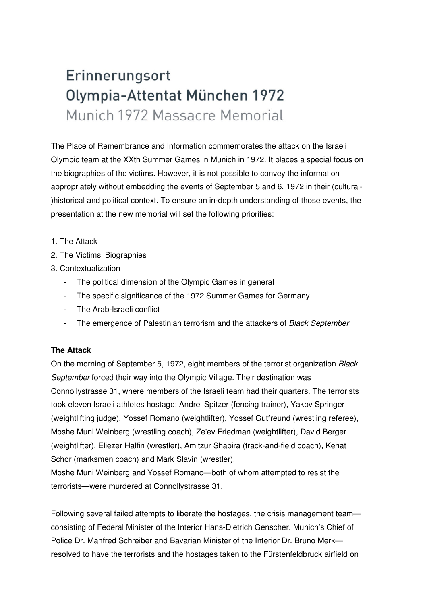# Erinnerungsort Olympia-Attentat München 1972 Munich 1972 Massacre Memorial

The Place of Remembrance and Information commemorates the attack on the Israeli Olympic team at the XXth Summer Games in Munich in 1972. It places a special focus on the biographies of the victims. However, it is not possible to convey the information appropriately without embedding the events of September 5 and 6, 1972 in their (cultural- )historical and political context. To ensure an in-depth understanding of those events, the presentation at the new memorial will set the following priorities:

- 1. The Attack
- 2. The Victims' Biographies
- 3. Contextualization
	- The political dimension of the Olympic Games in general
	- The specific significance of the 1972 Summer Games for Germany
	- The Arab-Israeli conflict
	- The emergence of Palestinian terrorism and the attackers of Black September

# **The Attack**

On the morning of September 5, 1972, eight members of the terrorist organization Black September forced their way into the Olympic Village. Their destination was Connollystrasse 31, where members of the Israeli team had their quarters. The terrorists took eleven Israeli athletes hostage: Andrei Spitzer (fencing trainer), Yakov Springer (weightlifting judge), Yossef Romano (weightlifter), Yossef Gutfreund (wrestling referee), Moshe Muni Weinberg (wrestling coach), Ze'ev Friedman (weightlifter), David Berger (weightlifter), Eliezer Halfin (wrestler), Amitzur Shapira (track-and-field coach), Kehat Schor (marksmen coach) and Mark Slavin (wrestler).

Moshe Muni Weinberg and Yossef Romano—both of whom attempted to resist the terrorists—were murdered at Connollystrasse 31.

Following several failed attempts to liberate the hostages, the crisis management team consisting of Federal Minister of the Interior Hans-Dietrich Genscher, Munich's Chief of Police Dr. Manfred Schreiber and Bavarian Minister of the Interior Dr. Bruno Merk resolved to have the terrorists and the hostages taken to the Fürstenfeldbruck airfield on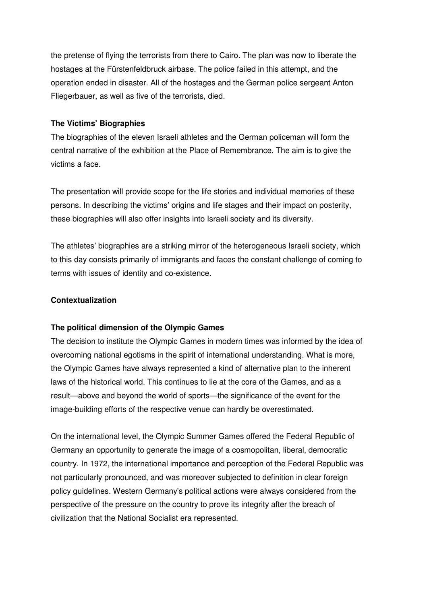the pretense of flying the terrorists from there to Cairo. The plan was now to liberate the hostages at the Fürstenfeldbruck airbase. The police failed in this attempt, and the operation ended in disaster. All of the hostages and the German police sergeant Anton Fliegerbauer, as well as five of the terrorists, died.

# **The Victims' Biographies**

The biographies of the eleven Israeli athletes and the German policeman will form the central narrative of the exhibition at the Place of Remembrance. The aim is to give the victims a face.

The presentation will provide scope for the life stories and individual memories of these persons. In describing the victims' origins and life stages and their impact on posterity, these biographies will also offer insights into Israeli society and its diversity.

The athletes' biographies are a striking mirror of the heterogeneous Israeli society, which to this day consists primarily of immigrants and faces the constant challenge of coming to terms with issues of identity and co-existence.

# **Contextualization**

# **The political dimension of the Olympic Games**

The decision to institute the Olympic Games in modern times was informed by the idea of overcoming national egotisms in the spirit of international understanding. What is more, the Olympic Games have always represented a kind of alternative plan to the inherent laws of the historical world. This continues to lie at the core of the Games, and as a result—above and beyond the world of sports—the significance of the event for the image-building efforts of the respective venue can hardly be overestimated.

On the international level, the Olympic Summer Games offered the Federal Republic of Germany an opportunity to generate the image of a cosmopolitan, liberal, democratic country. In 1972, the international importance and perception of the Federal Republic was not particularly pronounced, and was moreover subjected to definition in clear foreign policy guidelines. Western Germany's political actions were always considered from the perspective of the pressure on the country to prove its integrity after the breach of civilization that the National Socialist era represented.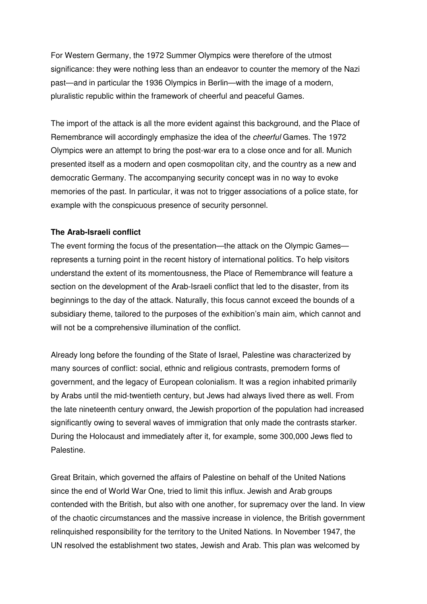For Western Germany, the 1972 Summer Olympics were therefore of the utmost significance: they were nothing less than an endeavor to counter the memory of the Nazi past—and in particular the 1936 Olympics in Berlin—with the image of a modern, pluralistic republic within the framework of cheerful and peaceful Games.

The import of the attack is all the more evident against this background, and the Place of Remembrance will accordingly emphasize the idea of the cheerful Games. The 1972 Olympics were an attempt to bring the post-war era to a close once and for all. Munich presented itself as a modern and open cosmopolitan city, and the country as a new and democratic Germany. The accompanying security concept was in no way to evoke memories of the past. In particular, it was not to trigger associations of a police state, for example with the conspicuous presence of security personnel.

# **The Arab-Israeli conflict**

The event forming the focus of the presentation—the attack on the Olympic Games represents a turning point in the recent history of international politics. To help visitors understand the extent of its momentousness, the Place of Remembrance will feature a section on the development of the Arab-Israeli conflict that led to the disaster, from its beginnings to the day of the attack. Naturally, this focus cannot exceed the bounds of a subsidiary theme, tailored to the purposes of the exhibition's main aim, which cannot and will not be a comprehensive illumination of the conflict.

Already long before the founding of the State of Israel, Palestine was characterized by many sources of conflict: social, ethnic and religious contrasts, premodern forms of government, and the legacy of European colonialism. It was a region inhabited primarily by Arabs until the mid-twentieth century, but Jews had always lived there as well. From the late nineteenth century onward, the Jewish proportion of the population had increased significantly owing to several waves of immigration that only made the contrasts starker. During the Holocaust and immediately after it, for example, some 300,000 Jews fled to Palestine.

Great Britain, which governed the affairs of Palestine on behalf of the United Nations since the end of World War One, tried to limit this influx. Jewish and Arab groups contended with the British, but also with one another, for supremacy over the land. In view of the chaotic circumstances and the massive increase in violence, the British government relinquished responsibility for the territory to the United Nations. In November 1947, the UN resolved the establishment two states, Jewish and Arab. This plan was welcomed by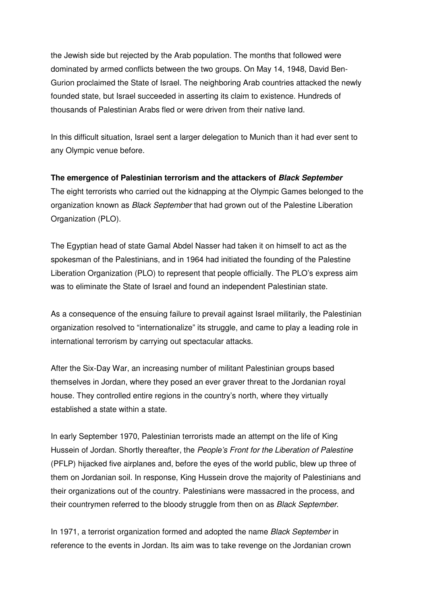the Jewish side but rejected by the Arab population. The months that followed were dominated by armed conflicts between the two groups. On May 14, 1948, David Ben-Gurion proclaimed the State of Israel. The neighboring Arab countries attacked the newly founded state, but Israel succeeded in asserting its claim to existence. Hundreds of thousands of Palestinian Arabs fled or were driven from their native land.

In this difficult situation, Israel sent a larger delegation to Munich than it had ever sent to any Olympic venue before.

# **The emergence of Palestinian terrorism and the attackers of Black September**

The eight terrorists who carried out the kidnapping at the Olympic Games belonged to the organization known as *Black September* that had grown out of the Palestine Liberation Organization (PLO).

The Egyptian head of state Gamal Abdel Nasser had taken it on himself to act as the spokesman of the Palestinians, and in 1964 had initiated the founding of the Palestine Liberation Organization (PLO) to represent that people officially. The PLO's express aim was to eliminate the State of Israel and found an independent Palestinian state.

As a consequence of the ensuing failure to prevail against Israel militarily, the Palestinian organization resolved to "internationalize" its struggle, and came to play a leading role in international terrorism by carrying out spectacular attacks.

After the Six-Day War, an increasing number of militant Palestinian groups based themselves in Jordan, where they posed an ever graver threat to the Jordanian royal house. They controlled entire regions in the country's north, where they virtually established a state within a state.

In early September 1970, Palestinian terrorists made an attempt on the life of King Hussein of Jordan. Shortly thereafter, the People's Front for the Liberation of Palestine (PFLP) hijacked five airplanes and, before the eyes of the world public, blew up three of them on Jordanian soil. In response, King Hussein drove the majority of Palestinians and their organizations out of the country. Palestinians were massacred in the process, and their countrymen referred to the bloody struggle from then on as *Black September*.

In 1971, a terrorist organization formed and adopted the name Black September in reference to the events in Jordan. Its aim was to take revenge on the Jordanian crown